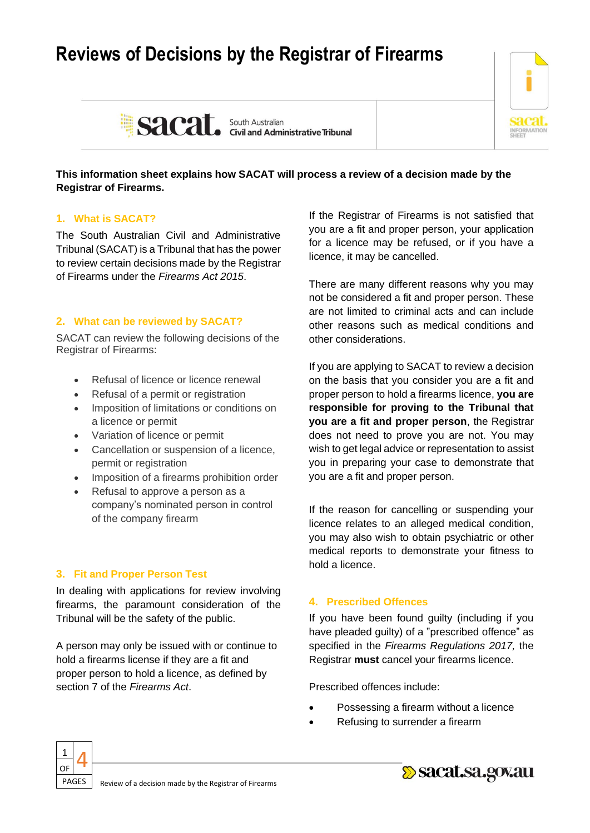# **Reviews of Decisions by the Registrar of Firearms**





# **This information sheet explains how SACAT will process a review of a decision made by the Registrar of Firearms.**

# **1. What is SACAT?**

The South Australian Civil and Administrative Tribunal (SACAT) is a Tribunal that has the power to review certain decisions made by the Registrar of Firearms under the *Firearms Act 2015*.

# **2. What can be reviewed by SACAT?**

SACAT can review the following decisions of the Registrar of Firearms:

- Refusal of licence or licence renewal
- Refusal of a permit or registration
- Imposition of limitations or conditions on a licence or permit
- Variation of licence or permit
- Cancellation or suspension of a licence, permit or registration
- Imposition of a firearms prohibition order
- Refusal to approve a person as a company's nominated person in control of the company firearm

# **3. Fit and Proper Person Test**

In dealing with applications for review involving firearms, the paramount consideration of the Tribunal will be the safety of the public.

A person may only be issued with or continue to hold a firearms license if they are a fit and proper person to hold a licence, as defined by section 7 of the *Firearms Act*.

If the Registrar of Firearms is not satisfied that you are a fit and proper person, your application for a licence may be refused, or if you have a licence, it may be cancelled.

There are many different reasons why you may not be considered a fit and proper person. These are not limited to criminal acts and can include other reasons such as medical conditions and other considerations.

If you are applying to SACAT to review a decision on the basis that you consider you are a fit and proper person to hold a firearms licence, **you are responsible for proving to the Tribunal that you are a fit and proper person**, the Registrar does not need to prove you are not. You may wish to get legal advice or representation to assist you in preparing your case to demonstrate that you are a fit and proper person.

If the reason for cancelling or suspending your licence relates to an alleged medical condition, you may also wish to obtain psychiatric or other medical reports to demonstrate your fitness to hold a licence.

# **4. Prescribed Offences**

If you have been found guilty (including if you have pleaded guilty) of a "prescribed offence" as specified in the *Firearms Regulations 2017,* the Registrar **must** cancel your firearms licence.

Prescribed offences include:

- Possessing a firearm without a licence
- Refusing to surrender a firearm



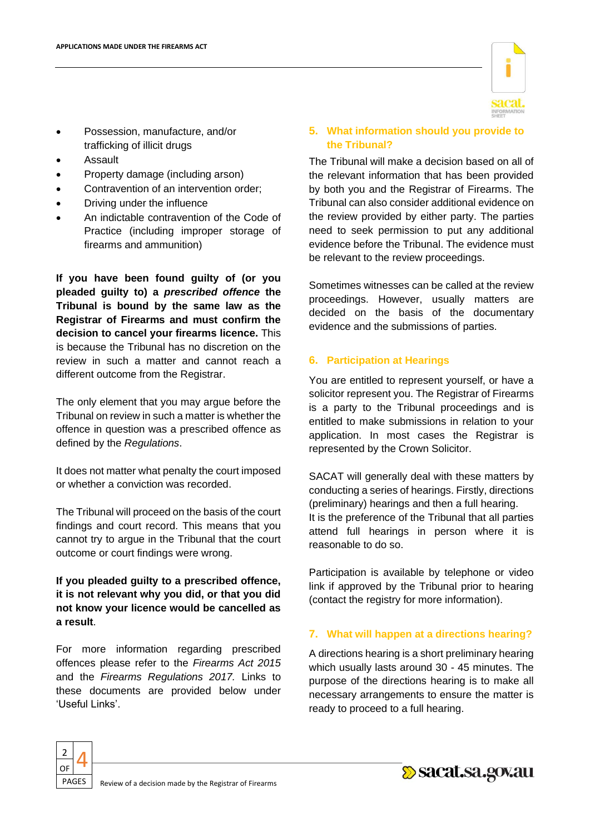

- Possession, manufacture, and/or trafficking of illicit drugs
- Assault
- Property damage (including arson)
- Contravention of an intervention order;
- Driving under the influence
- An indictable contravention of the Code of Practice (including improper storage of firearms and ammunition)

**If you have been found guilty of (or you pleaded guilty to) a** *prescribed offence* **the Tribunal is bound by the same law as the Registrar of Firearms and must confirm the decision to cancel your firearms licence.** This is because the Tribunal has no discretion on the review in such a matter and cannot reach a different outcome from the Registrar.

The only element that you may argue before the Tribunal on review in such a matter is whether the offence in question was a prescribed offence as defined by the *Regulations*.

It does not matter what penalty the court imposed or whether a conviction was recorded.

The Tribunal will proceed on the basis of the court findings and court record. This means that you cannot try to argue in the Tribunal that the court outcome or court findings were wrong.

# **If you pleaded guilty to a prescribed offence, it is not relevant why you did, or that you did not know your licence would be cancelled as a result**.

For more information regarding prescribed offences please refer to the *Firearms Act 2015*  and the *Firearms Regulations 2017.* Links to these documents are provided below under 'Useful Links'.

#### **5. What information should you provide to the Tribunal?**

The Tribunal will make a decision based on all of the relevant information that has been provided by both you and the Registrar of Firearms. The Tribunal can also consider additional evidence on the review provided by either party. The parties need to seek permission to put any additional evidence before the Tribunal. The evidence must be relevant to the review proceedings.

Sometimes witnesses can be called at the review proceedings. However, usually matters are decided on the basis of the documentary evidence and the submissions of parties.

# **6. Participation at Hearings**

You are entitled to represent yourself, or have a solicitor represent you. The Registrar of Firearms is a party to the Tribunal proceedings and is entitled to make submissions in relation to your application. In most cases the Registrar is represented by the Crown Solicitor.

SACAT will generally deal with these matters by conducting a series of hearings. Firstly, directions (preliminary) hearings and then a full hearing. It is the preference of the Tribunal that all parties attend full hearings in person where it is reasonable to do so.

Participation is available by telephone or video link if approved by the Tribunal prior to hearing (contact the registry for more information).

# **7. What will happen at a directions hearing?**

A directions hearing is a short preliminary hearing which usually lasts around 30 - 45 minutes. The purpose of the directions hearing is to make all necessary arrangements to ensure the matter is ready to proceed to a full hearing.



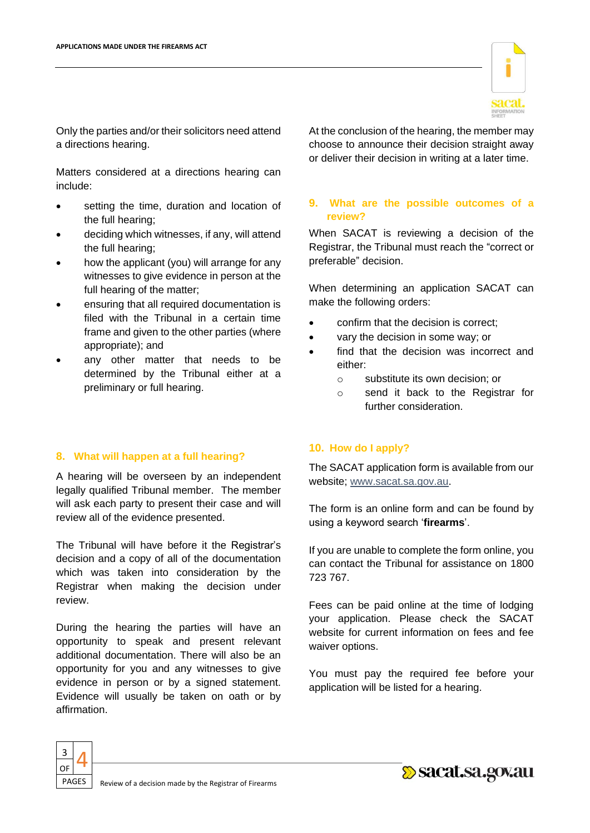

Only the parties and/or their solicitors need attend a directions hearing.

Matters considered at a directions hearing can include:

- setting the time, duration and location of the full hearing;
- deciding which witnesses, if any, will attend the full hearing;
- how the applicant (you) will arrange for any witnesses to give evidence in person at the full hearing of the matter;
- ensuring that all required documentation is filed with the Tribunal in a certain time frame and given to the other parties (where appropriate); and
- any other matter that needs to be determined by the Tribunal either at a preliminary or full hearing.

#### **8. What will happen at a full hearing?**

A hearing will be overseen by an independent legally qualified Tribunal member. The member will ask each party to present their case and will review all of the evidence presented.

The Tribunal will have before it the Registrar's decision and a copy of all of the documentation which was taken into consideration by the Registrar when making the decision under review.

During the hearing the parties will have an opportunity to speak and present relevant additional documentation. There will also be an opportunity for you and any witnesses to give evidence in person or by a signed statement. Evidence will usually be taken on oath or by affirmation.

At the conclusion of the hearing, the member may choose to announce their decision straight away or deliver their decision in writing at a later time.

### **9. What are the possible outcomes of a review?**

When SACAT is reviewing a decision of the Registrar, the Tribunal must reach the "correct or preferable" decision.

When determining an application SACAT can make the following orders:

- confirm that the decision is correct;
- vary the decision in some way; or
- find that the decision was incorrect and either:
	- o substitute its own decision; or
	- o send it back to the Registrar for further consideration.

# **10. How do I apply?**

The SACAT application form is available from our website; [www.sacat.sa.gov.au.](http://www.sacat.sa.gov.au/)

The form is an online form and can be found by using a keyword search '**firearms**'.

If you are unable to complete the form online, you can contact the Tribunal for assistance on 1800 723 767.

Fees can be paid online at the time of lodging your application. Please check the SACAT website for current information on fees and fee waiver options.

You must pay the required fee before your application will be listed for a hearing.